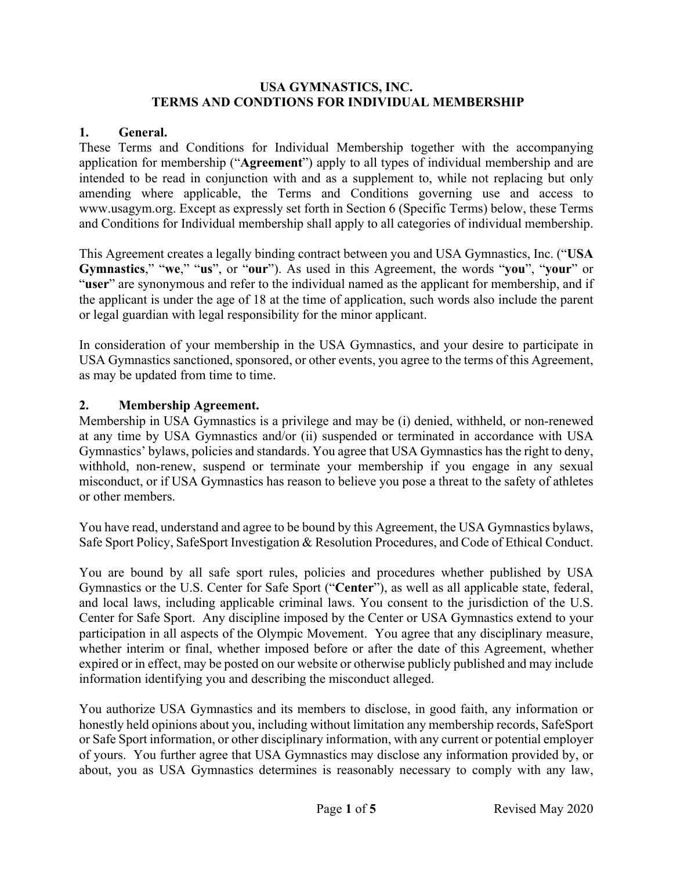#### **USA GYMNASTICS, INC. TERMS AND CONDTIONS FOR INDIVIDUAL MEMBERSHIP**

# **1. General.**

These Terms and Conditions for Individual Membership together with the accompanying application for membership ("**Agreement**") apply to all types of individual membership and are intended to be read in conjunction with and as a supplement to, while not replacing but only amending where applicable, the Terms and Conditions governing use and access to www.usagym.org. Except as expressly set forth in Section 6 (Specific Terms) below, these Terms and Conditions for Individual membership shall apply to all categories of individual membership.

This Agreement creates a legally binding contract between you and USA Gymnastics, Inc. ("**USA Gymnastics**," "**we**," "**us**", or "**our**"). As used in this Agreement, the words "**you**", "**your**" or "user" are synonymous and refer to the individual named as the applicant for membership, and if the applicant is under the age of 18 at the time of application, such words also include the parent or legal guardian with legal responsibility for the minor applicant.

In consideration of your membership in the USA Gymnastics, and your desire to participate in USA Gymnastics sanctioned, sponsored, or other events, you agree to the terms of this Agreement, as may be updated from time to time.

## **2. Membership Agreement.**

Membership in USA Gymnastics is a privilege and may be (i) denied, withheld, or non-renewed at any time by USA Gymnastics and/or (ii) suspended or terminated in accordance with USA Gymnastics' bylaws, policies and standards. You agree that USA Gymnastics has the right to deny, withhold, non-renew, suspend or terminate your membership if you engage in any sexual misconduct, or if USA Gymnastics has reason to believe you pose a threat to the safety of athletes or other members.

You have read, understand and agree to be bound by this Agreement, the USA Gymnastics bylaws, Safe Sport Policy, SafeSport Investigation & Resolution Procedures, and Code of Ethical Conduct.

You are bound by all safe sport rules, policies and procedures whether published by USA Gymnastics or the U.S. Center for Safe Sport ("**Center**"), as well as all applicable state, federal, and local laws, including applicable criminal laws. You consent to the jurisdiction of the U.S. Center for Safe Sport. Any discipline imposed by the Center or USA Gymnastics extend to your participation in all aspects of the Olympic Movement. You agree that any disciplinary measure, whether interim or final, whether imposed before or after the date of this Agreement, whether expired or in effect, may be posted on our website or otherwise publicly published and may include information identifying you and describing the misconduct alleged.

You authorize USA Gymnastics and its members to disclose, in good faith, any information or honestly held opinions about you, including without limitation any membership records, SafeSport or Safe Sport information, or other disciplinary information, with any current or potential employer of yours. You further agree that USA Gymnastics may disclose any information provided by, or about, you as USA Gymnastics determines is reasonably necessary to comply with any law,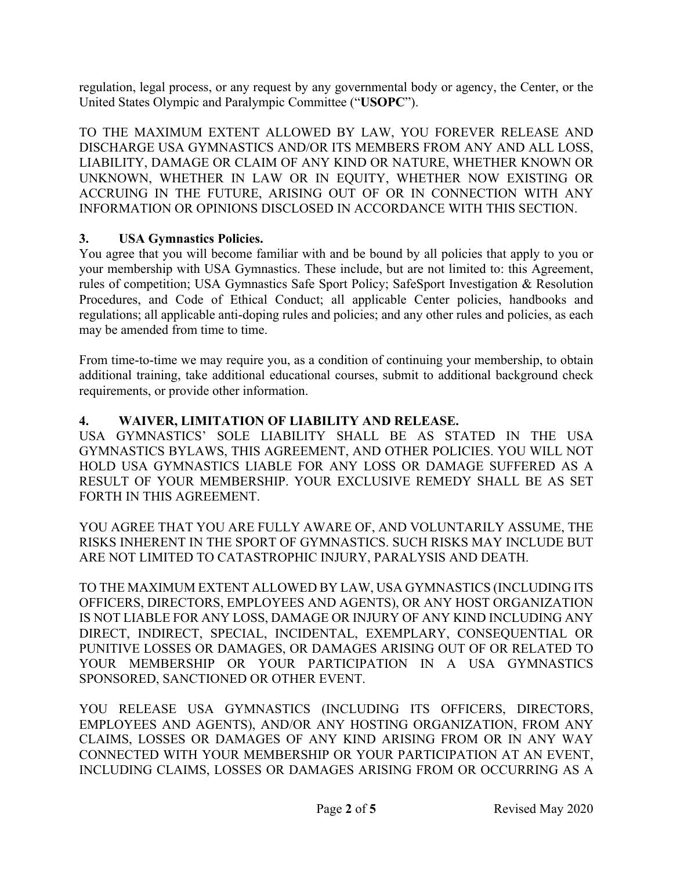regulation, legal process, or any request by any governmental body or agency, the Center, or the United States Olympic and Paralympic Committee ("**USOPC**").

TO THE MAXIMUM EXTENT ALLOWED BY LAW, YOU FOREVER RELEASE AND DISCHARGE USA GYMNASTICS AND/OR ITS MEMBERS FROM ANY AND ALL LOSS, LIABILITY, DAMAGE OR CLAIM OF ANY KIND OR NATURE, WHETHER KNOWN OR UNKNOWN, WHETHER IN LAW OR IN EQUITY, WHETHER NOW EXISTING OR ACCRUING IN THE FUTURE, ARISING OUT OF OR IN CONNECTION WITH ANY INFORMATION OR OPINIONS DISCLOSED IN ACCORDANCE WITH THIS SECTION.

# **3. USA Gymnastics Policies.**

You agree that you will become familiar with and be bound by all policies that apply to you or your membership with USA Gymnastics. These include, but are not limited to: this Agreement, rules of competition; USA Gymnastics Safe Sport Policy; SafeSport Investigation & Resolution Procedures, and Code of Ethical Conduct; all applicable Center policies, handbooks and regulations; all applicable anti-doping rules and policies; and any other rules and policies, as each may be amended from time to time.

From time-to-time we may require you, as a condition of continuing your membership, to obtain additional training, take additional educational courses, submit to additional background check requirements, or provide other information.

# **4. WAIVER, LIMITATION OF LIABILITY AND RELEASE.**

USA GYMNASTICS' SOLE LIABILITY SHALL BE AS STATED IN THE USA GYMNASTICS BYLAWS, THIS AGREEMENT, AND OTHER POLICIES. YOU WILL NOT HOLD USA GYMNASTICS LIABLE FOR ANY LOSS OR DAMAGE SUFFERED AS A RESULT OF YOUR MEMBERSHIP. YOUR EXCLUSIVE REMEDY SHALL BE AS SET FORTH IN THIS AGREEMENT.

YOU AGREE THAT YOU ARE FULLY AWARE OF, AND VOLUNTARILY ASSUME, THE RISKS INHERENT IN THE SPORT OF GYMNASTICS. SUCH RISKS MAY INCLUDE BUT ARE NOT LIMITED TO CATASTROPHIC INJURY, PARALYSIS AND DEATH.

TO THE MAXIMUM EXTENT ALLOWED BY LAW, USA GYMNASTICS (INCLUDING ITS OFFICERS, DIRECTORS, EMPLOYEES AND AGENTS), OR ANY HOST ORGANIZATION IS NOT LIABLE FOR ANY LOSS, DAMAGE OR INJURY OF ANY KIND INCLUDING ANY DIRECT, INDIRECT, SPECIAL, INCIDENTAL, EXEMPLARY, CONSEQUENTIAL OR PUNITIVE LOSSES OR DAMAGES, OR DAMAGES ARISING OUT OF OR RELATED TO YOUR MEMBERSHIP OR YOUR PARTICIPATION IN A USA GYMNASTICS SPONSORED, SANCTIONED OR OTHER EVENT.

YOU RELEASE USA GYMNASTICS (INCLUDING ITS OFFICERS, DIRECTORS, EMPLOYEES AND AGENTS), AND/OR ANY HOSTING ORGANIZATION, FROM ANY CLAIMS, LOSSES OR DAMAGES OF ANY KIND ARISING FROM OR IN ANY WAY CONNECTED WITH YOUR MEMBERSHIP OR YOUR PARTICIPATION AT AN EVENT, INCLUDING CLAIMS, LOSSES OR DAMAGES ARISING FROM OR OCCURRING AS A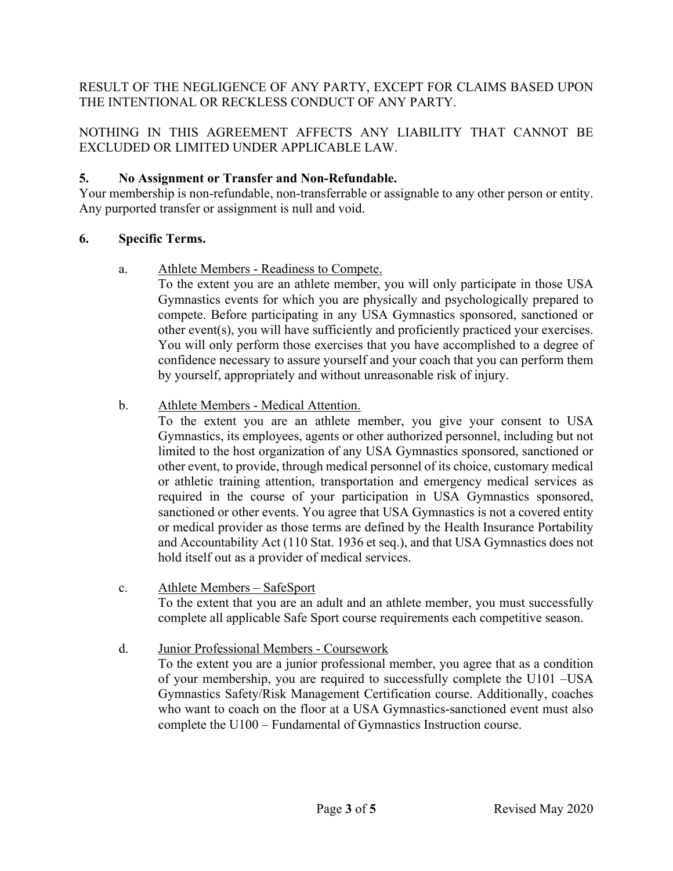# RESULT OF THE NEGLIGENCE OF ANY PARTY, EXCEPT FOR CLAIMS BASED UPON THE INTENTIONAL OR RECKLESS CONDUCT OF ANY PARTY.

# NOTHING IN THIS AGREEMENT AFFECTS ANY LIABILITY THAT CANNOT BE EXCLUDED OR LIMITED UNDER APPLICABLE LAW.

# **5. No Assignment or Transfer and Non-Refundable.**

Your membership is non-refundable, non-transferrable or assignable to any other person or entity. Any purported transfer or assignment is null and void.

## **6. Specific Terms.**

a. Athlete Members - Readiness to Compete.

To the extent you are an athlete member, you will only participate in those USA Gymnastics events for which you are physically and psychologically prepared to compete. Before participating in any USA Gymnastics sponsored, sanctioned or other event(s), you will have sufficiently and proficiently practiced your exercises. You will only perform those exercises that you have accomplished to a degree of confidence necessary to assure yourself and your coach that you can perform them by yourself, appropriately and without unreasonable risk of injury.

## b. Athlete Members - Medical Attention.

To the extent you are an athlete member, you give your consent to USA Gymnastics, its employees, agents or other authorized personnel, including but not limited to the host organization of any USA Gymnastics sponsored, sanctioned or other event, to provide, through medical personnel of its choice, customary medical or athletic training attention, transportation and emergency medical services as required in the course of your participation in USA Gymnastics sponsored, sanctioned or other events. You agree that USA Gymnastics is not a covered entity or medical provider as those terms are defined by the Health Insurance Portability and Accountability Act (110 Stat. 1936 et seq.), and that USA Gymnastics does not hold itself out as a provider of medical services.

- c. Athlete Members SafeSport To the extent that you are an adult and an athlete member, you must successfully complete all applicable Safe Sport course requirements each competitive season.
- d. Junior Professional Members Coursework To the extent you are a junior professional member, you agree that as a condition of your membership, you are required to successfully complete the U101 –USA Gymnastics Safety/Risk Management Certification course. Additionally, coaches who want to coach on the floor at a USA Gymnastics-sanctioned event must also complete the U100 – Fundamental of Gymnastics Instruction course.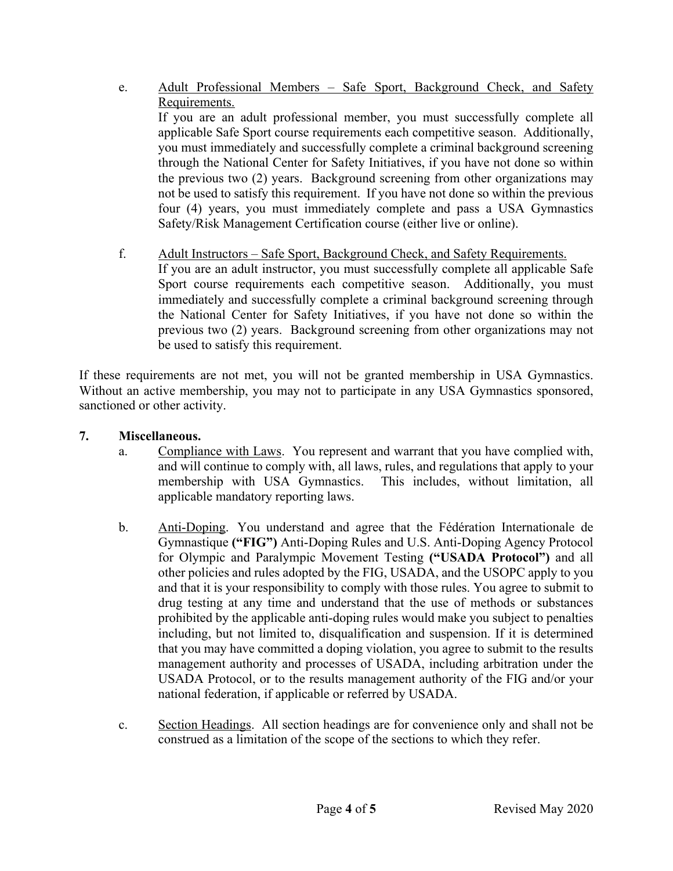- e. Adult Professional Members Safe Sport, Background Check, and Safety Requirements. If you are an adult professional member, you must successfully complete all applicable Safe Sport course requirements each competitive season. Additionally, you must immediately and successfully complete a criminal background screening through the National Center for Safety Initiatives, if you have not done so within the previous two (2) years. Background screening from other organizations may not be used to satisfy this requirement. If you have not done so within the previous four (4) years, you must immediately complete and pass a USA Gymnastics Safety/Risk Management Certification course (either live or online).
- f. Adult Instructors Safe Sport, Background Check, and Safety Requirements. If you are an adult instructor, you must successfully complete all applicable Safe Sport course requirements each competitive season. Additionally, you must immediately and successfully complete a criminal background screening through the National Center for Safety Initiatives, if you have not done so within the

previous two (2) years. Background screening from other organizations may not

- be used to satisfy this requirement. If these requirements are not met, you will not be granted membership in USA Gymnastics. Without an active membership, you may not to participate in any USA Gymnastics sponsored, sanctioned or other activity.
- **7. Miscellaneous.**
	- a. Compliance with Laws. You represent and warrant that you have complied with, and will continue to comply with, all laws, rules, and regulations that apply to your membership with USA Gymnastics. This includes, without limitation, all applicable mandatory reporting laws.
	- b. Anti-Doping. You understand and agree that the Fédération Internationale de Gymnastique **("FIG")** Anti-Doping Rules and U.S. Anti-Doping Agency Protocol for Olympic and Paralympic Movement Testing **("USADA Protocol")** and all other policies and rules adopted by the FIG, USADA, and the USOPC apply to you and that it is your responsibility to comply with those rules. You agree to submit to drug testing at any time and understand that the use of methods or substances prohibited by the applicable anti-doping rules would make you subject to penalties including, but not limited to, disqualification and suspension. If it is determined that you may have committed a doping violation, you agree to submit to the results management authority and processes of USADA, including arbitration under the USADA Protocol, or to the results management authority of the FIG and/or your national federation, if applicable or referred by USADA.
	- c. Section Headings. All section headings are for convenience only and shall not be construed as a limitation of the scope of the sections to which they refer.